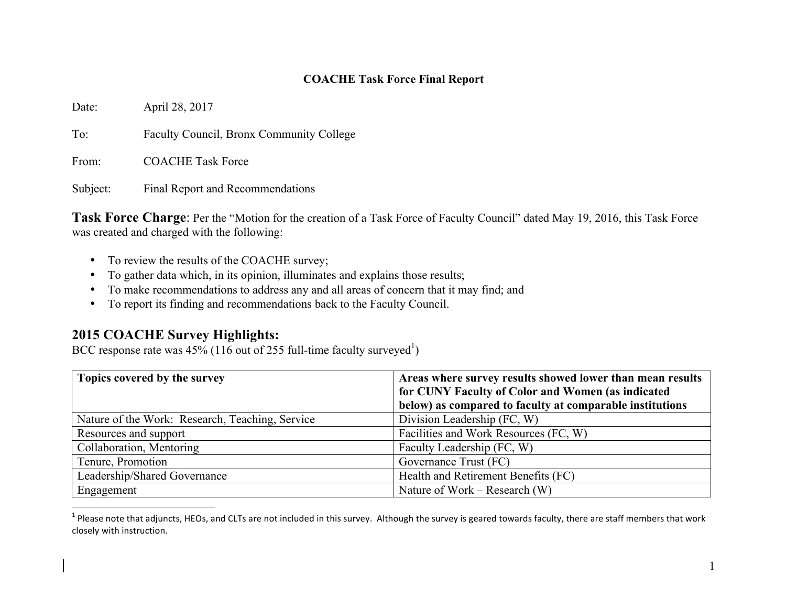## **COACHE Task Force Final Report**

Date: April 28, 2017

To: Faculty Council, Bronx Community College

From: COACHE Task Force

Subject: Final Report and Recommendations

**Task Force Charge**: Per the "Motion for the creation of a Task Force of Faculty Council" dated May 19, 2016, this Task Force was created and charged with the following:

- To review the results of the COACHE survey;
- To gather data which, in its opinion, illuminates and explains those results;
- To make recommendations to address any and all areas of concern that it may find; and
- To report its finding and recommendations back to the Faculty Council.

## **2015 COACHE Survey Highlights:**

BCC response rate was  $45\%$  (116 out of 255 full-time faculty surveyed<sup>1</sup>)

| Topics covered by the survey                    | Areas where survey results showed lower than mean results<br>for CUNY Faculty of Color and Women (as indicated |  |
|-------------------------------------------------|----------------------------------------------------------------------------------------------------------------|--|
|                                                 | below) as compared to faculty at comparable institutions                                                       |  |
| Nature of the Work: Research, Teaching, Service | Division Leadership (FC, W)                                                                                    |  |
| Resources and support                           | Facilities and Work Resources (FC, W)                                                                          |  |
| Collaboration, Mentoring                        | Faculty Leadership (FC, W)                                                                                     |  |
| Tenure, Promotion                               | Governance Trust (FC)                                                                                          |  |
| Leadership/Shared Governance                    | Health and Retirement Benefits (FC)                                                                            |  |
| Engagement                                      | Nature of Work – Research $(W)$                                                                                |  |

 $1$  Please note that adjuncts, HEOs, and CLTs are not included in this survey. Although the survey is geared towards faculty, there are staff members that work closely with instruction.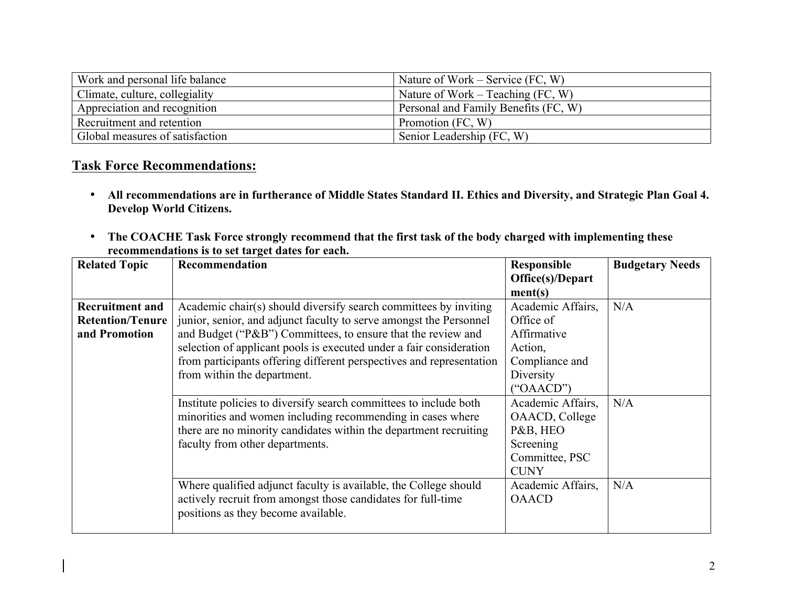| Work and personal life balance  | Nature of Work – Service $(FC, W)$   |
|---------------------------------|--------------------------------------|
| Climate, culture, collegiality  | Nature of Work – Teaching $(FC, W)$  |
| Appreciation and recognition    | Personal and Family Benefits (FC, W) |
| Recruitment and retention       | Promotion (FC, W)                    |
| Global measures of satisfaction | Senior Leadership (FC, W)            |

# **Task Force Recommendations:**

- **All recommendations are in furtherance of Middle States Standard II. Ethics and Diversity, and Strategic Plan Goal 4. Develop World Citizens.**
- **The COACHE Task Force strongly recommend that the first task of the body charged with implementing these recommendations is to set target dates for each.**

| <b>Related Topic</b>    | Recommendation                                                                                                                   | <b>Responsible</b>                | <b>Budgetary Needs</b> |
|-------------------------|----------------------------------------------------------------------------------------------------------------------------------|-----------------------------------|------------------------|
|                         |                                                                                                                                  | Office(s)/Depart                  |                        |
|                         |                                                                                                                                  | ment(s)                           |                        |
| <b>Recruitment and</b>  | Academic chair(s) should diversify search committees by inviting                                                                 | Academic Affairs,                 | N/A                    |
| <b>Retention/Tenure</b> | junior, senior, and adjunct faculty to serve amongst the Personnel                                                               | Office of                         |                        |
| and Promotion           | and Budget ("P&B") Committees, to ensure that the review and                                                                     | Affirmative                       |                        |
|                         | selection of applicant pools is executed under a fair consideration                                                              | Action,                           |                        |
|                         | from participants offering different perspectives and representation                                                             | Compliance and                    |                        |
|                         | from within the department.                                                                                                      | Diversity                         |                        |
|                         |                                                                                                                                  | $(^{\circ}OAACD^{\prime\prime})$  |                        |
|                         | Institute policies to diversify search committees to include both                                                                | Academic Affairs,                 | N/A                    |
|                         | minorities and women including recommending in cases where                                                                       | OAACD, College                    |                        |
|                         | there are no minority candidates within the department recruiting                                                                | P&B, HEO                          |                        |
|                         | faculty from other departments.                                                                                                  | Screening                         |                        |
|                         |                                                                                                                                  | Committee, PSC                    |                        |
|                         |                                                                                                                                  | <b>CUNY</b>                       |                        |
|                         | Where qualified adjunct faculty is available, the College should<br>actively recruit from amongst those candidates for full-time | Academic Affairs,<br><b>OAACD</b> | N/A                    |
|                         | positions as they become available.                                                                                              |                                   |                        |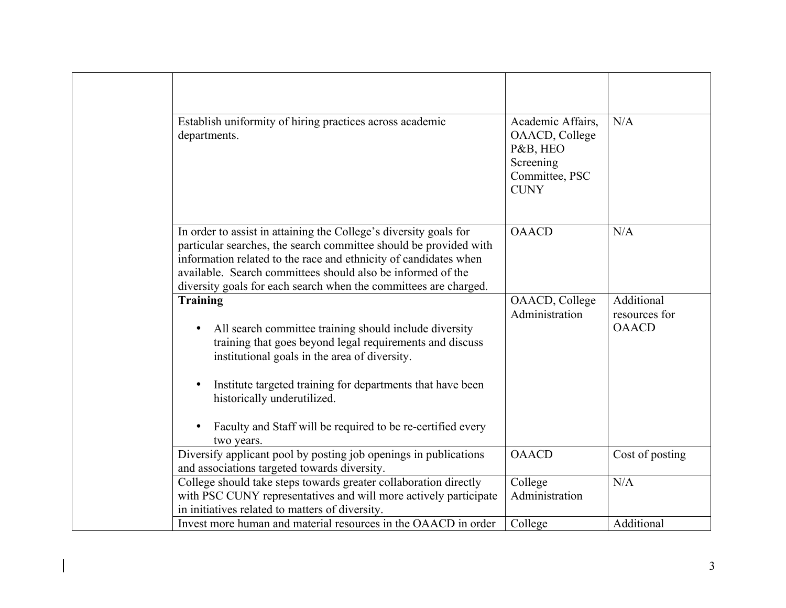| Establish uniformity of hiring practices across academic<br>departments.                                                                                                                                                                                                                                                                                         | Academic Affairs,<br>OAACD, College<br>P&B, HEO<br>Screening<br>Committee, PSC<br><b>CUNY</b> | N/A                                         |
|------------------------------------------------------------------------------------------------------------------------------------------------------------------------------------------------------------------------------------------------------------------------------------------------------------------------------------------------------------------|-----------------------------------------------------------------------------------------------|---------------------------------------------|
| In order to assist in attaining the College's diversity goals for<br>particular searches, the search committee should be provided with<br>information related to the race and ethnicity of candidates when<br>available. Search committees should also be informed of the<br>diversity goals for each search when the committees are charged.                    | <b>OAACD</b>                                                                                  | N/A                                         |
| <b>Training</b><br>All search committee training should include diversity<br>training that goes beyond legal requirements and discuss<br>institutional goals in the area of diversity.<br>Institute targeted training for departments that have been<br>historically underutilized.<br>Faculty and Staff will be required to be re-certified every<br>two years. | OAACD, College<br>Administration                                                              | Additional<br>resources for<br><b>OAACD</b> |
| Diversify applicant pool by posting job openings in publications<br>and associations targeted towards diversity.                                                                                                                                                                                                                                                 | <b>OAACD</b>                                                                                  | Cost of posting                             |
| College should take steps towards greater collaboration directly<br>with PSC CUNY representatives and will more actively participate<br>in initiatives related to matters of diversity.                                                                                                                                                                          | College<br>Administration                                                                     | N/A                                         |
| Invest more human and material resources in the OAACD in order                                                                                                                                                                                                                                                                                                   | College                                                                                       | Additional                                  |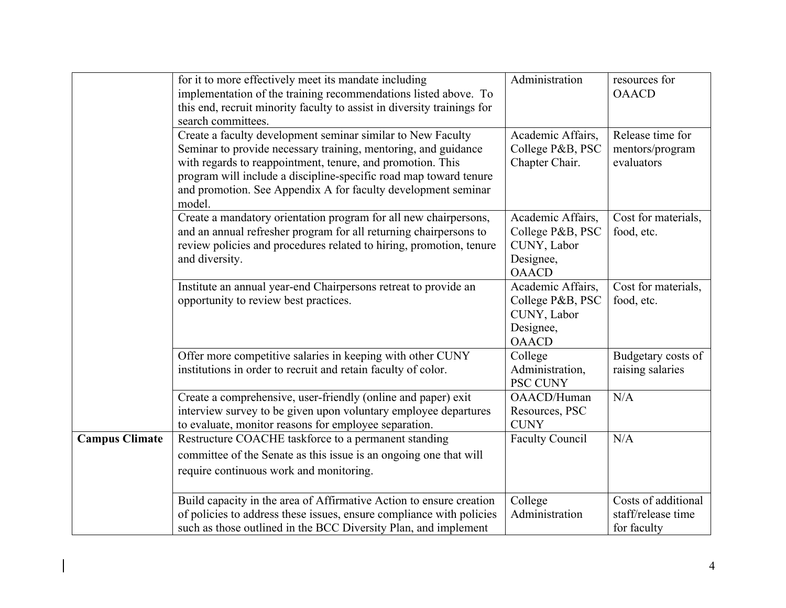|                                                                                                                                                                                                                                                                                                                                                                                                                                                                                                                                                                                                                                                                                                                                                                                                                          | for it to more effectively meet its mandate including<br>implementation of the training recommendations listed above. To<br>this end, recruit minority faculty to assist in diversity trainings for<br>search committees. | Administration                                                                    | resources for<br><b>OAACD</b>                            |
|--------------------------------------------------------------------------------------------------------------------------------------------------------------------------------------------------------------------------------------------------------------------------------------------------------------------------------------------------------------------------------------------------------------------------------------------------------------------------------------------------------------------------------------------------------------------------------------------------------------------------------------------------------------------------------------------------------------------------------------------------------------------------------------------------------------------------|---------------------------------------------------------------------------------------------------------------------------------------------------------------------------------------------------------------------------|-----------------------------------------------------------------------------------|----------------------------------------------------------|
| Create a faculty development seminar similar to New Faculty<br>Seminar to provide necessary training, mentoring, and guidance<br>with regards to reappointment, tenure, and promotion. This<br>program will include a discipline-specific road map toward tenure<br>and promotion. See Appendix A for faculty development seminar<br>model.<br>Create a mandatory orientation program for all new chairpersons,<br>and an annual refresher program for all returning chairpersons to<br>review policies and procedures related to hiring, promotion, tenure<br>and diversity.<br>Institute an annual year-end Chairpersons retreat to provide an<br>opportunity to review best practices.<br>Offer more competitive salaries in keeping with other CUNY<br>institutions in order to recruit and retain faculty of color. |                                                                                                                                                                                                                           | Academic Affairs,<br>College P&B, PSC<br>Chapter Chair.                           | Release time for<br>mentors/program<br>evaluators        |
|                                                                                                                                                                                                                                                                                                                                                                                                                                                                                                                                                                                                                                                                                                                                                                                                                          |                                                                                                                                                                                                                           | Academic Affairs,<br>College P&B, PSC<br>CUNY, Labor<br>Designee,<br><b>OAACD</b> | Cost for materials,<br>food, etc.                        |
|                                                                                                                                                                                                                                                                                                                                                                                                                                                                                                                                                                                                                                                                                                                                                                                                                          |                                                                                                                                                                                                                           | Academic Affairs,<br>College P&B, PSC<br>CUNY, Labor<br>Designee,<br><b>OAACD</b> | Cost for materials,<br>food, etc.                        |
|                                                                                                                                                                                                                                                                                                                                                                                                                                                                                                                                                                                                                                                                                                                                                                                                                          |                                                                                                                                                                                                                           | College<br>Administration,<br><b>PSC CUNY</b>                                     | Budgetary costs of<br>raising salaries                   |
|                                                                                                                                                                                                                                                                                                                                                                                                                                                                                                                                                                                                                                                                                                                                                                                                                          | Create a comprehensive, user-friendly (online and paper) exit<br>interview survey to be given upon voluntary employee departures<br>to evaluate, monitor reasons for employee separation.                                 | OAACD/Human<br>Resources, PSC<br><b>CUNY</b>                                      | N/A                                                      |
| <b>Campus Climate</b>                                                                                                                                                                                                                                                                                                                                                                                                                                                                                                                                                                                                                                                                                                                                                                                                    | Restructure COACHE taskforce to a permanent standing<br>committee of the Senate as this issue is an ongoing one that will<br>require continuous work and monitoring.                                                      | <b>Faculty Council</b>                                                            | N/A                                                      |
|                                                                                                                                                                                                                                                                                                                                                                                                                                                                                                                                                                                                                                                                                                                                                                                                                          | Build capacity in the area of Affirmative Action to ensure creation<br>of policies to address these issues, ensure compliance with policies<br>such as those outlined in the BCC Diversity Plan, and implement            | College<br>Administration                                                         | Costs of additional<br>staff/release time<br>for faculty |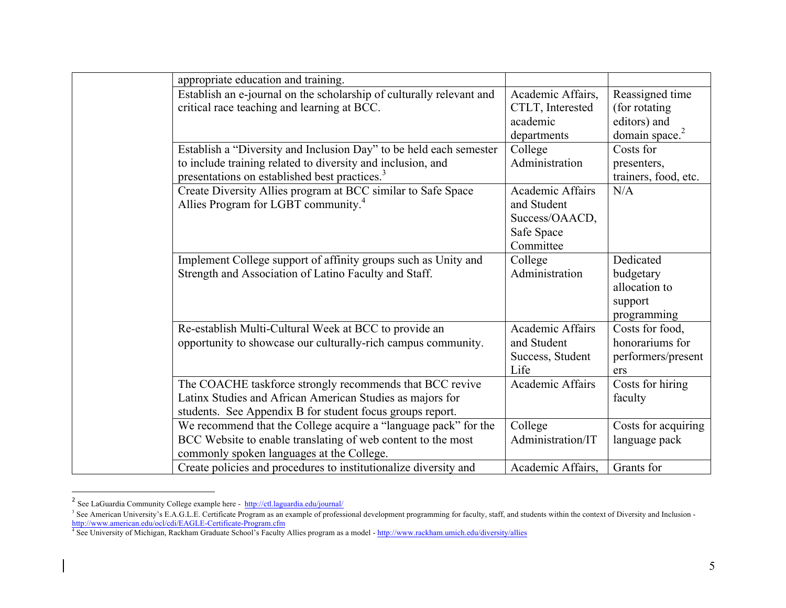| appropriate education and training.                                  |                         |                            |
|----------------------------------------------------------------------|-------------------------|----------------------------|
| Establish an e-journal on the scholarship of culturally relevant and | Academic Affairs,       | Reassigned time            |
| critical race teaching and learning at BCC.                          | CTLT, Interested        | (for rotating)             |
|                                                                      | academic                | editors) and               |
|                                                                      | departments             | domain space. <sup>2</sup> |
| Establish a "Diversity and Inclusion Day" to be held each semester   | College                 | Costs for                  |
| to include training related to diversity and inclusion, and          | Administration          | presenters,                |
| presentations on established best practices. <sup>3</sup>            |                         | trainers, food, etc.       |
| Create Diversity Allies program at BCC similar to Safe Space         | <b>Academic Affairs</b> | N/A                        |
| Allies Program for LGBT community. <sup>4</sup>                      | and Student             |                            |
|                                                                      | Success/OAACD,          |                            |
|                                                                      | Safe Space              |                            |
|                                                                      | Committee               |                            |
| Implement College support of affinity groups such as Unity and       | College                 | Dedicated                  |
| Strength and Association of Latino Faculty and Staff.                | Administration          | budgetary                  |
|                                                                      |                         | allocation to              |
|                                                                      |                         | support                    |
|                                                                      |                         | programming                |
| Re-establish Multi-Cultural Week at BCC to provide an                | <b>Academic Affairs</b> | Costs for food,            |
| opportunity to showcase our culturally-rich campus community.        | and Student             | honorariums for            |
|                                                                      | Success, Student        | performers/present         |
|                                                                      | Life                    | ers                        |
| The COACHE taskforce strongly recommends that BCC revive             | Academic Affairs        | Costs for hiring           |
| Latinx Studies and African American Studies as majors for            |                         | faculty                    |
| students. See Appendix B for student focus groups report.            |                         |                            |
| We recommend that the College acquire a "language pack" for the      | College                 | Costs for acquiring        |
| BCC Website to enable translating of web content to the most         | Administration/IT       | language pack              |
| commonly spoken languages at the College.                            |                         |                            |
| Create policies and procedures to institutionalize diversity and     | Academic Affairs,       | Grants for                 |

<sup>2&</sup>lt;br>2 See LaGuardia Community College example here - http://ctl.laguardia.edu/journal/

<sup>&</sup>lt;sup>3</sup> See American University's E.A.G.L.E. Certificate Program as an example of professional development programming for faculty, staff, and students within the context of Diversity and Inclusion http://www.american.edu/ocl/cdi/EAGLE-Certificate-Program.cfm

<sup>4</sup> See University of Michigan, Rackham Graduate School's Faculty Allies program as a model - http://www.rackham.umich.edu/diversity/allies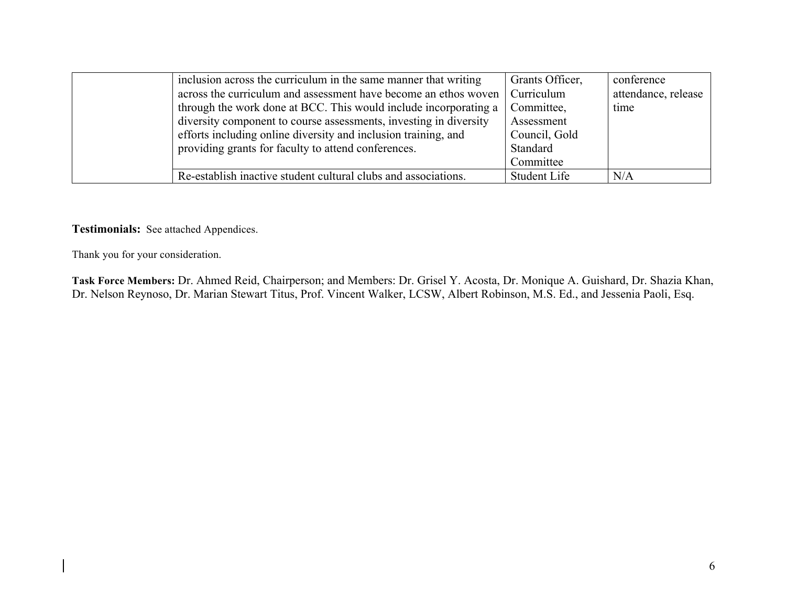| inclusion across the curriculum in the same manner that writing   | Grants Officer, | conference          |
|-------------------------------------------------------------------|-----------------|---------------------|
| across the curriculum and assessment have become an ethos woven   | Curriculum      | attendance, release |
| through the work done at BCC. This would include incorporating a  | Committee,      | time                |
| diversity component to course assessments, investing in diversity | Assessment      |                     |
| efforts including online diversity and inclusion training, and    | Council, Gold   |                     |
| providing grants for faculty to attend conferences.               | Standard        |                     |
|                                                                   | Committee       |                     |
| Re-establish inactive student cultural clubs and associations.    | Student Life    | N/A                 |

**Testimonials:** See attached Appendices.

Thank you for your consideration.

**Task Force Members:** Dr. Ahmed Reid, Chairperson; and Members: Dr. Grisel Y. Acosta, Dr. Monique A. Guishard, Dr. Shazia Khan, Dr. Nelson Reynoso, Dr. Marian Stewart Titus, Prof. Vincent Walker, LCSW, Albert Robinson, M.S. Ed., and Jessenia Paoli, Esq.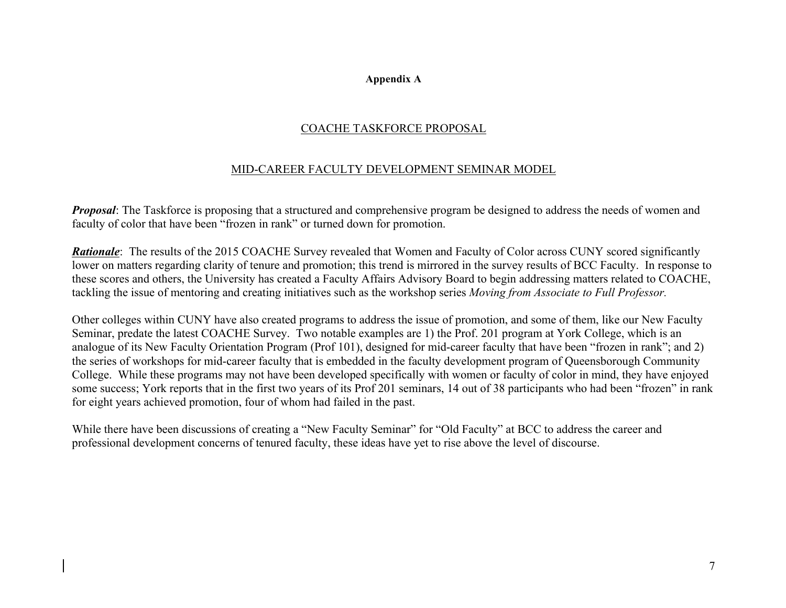#### **Appendix A**

## COACHE TASKFORCE PROPOSAL

## MID-CAREER FACULTY DEVELOPMENT SEMINAR MODEL

*Proposal*: The Taskforce is proposing that a structured and comprehensive program be designed to address the needs of women and faculty of color that have been "frozen in rank" or turned down for promotion.

*Rationale*: The results of the 2015 COACHE Survey revealed that Women and Faculty of Color across CUNY scored significantly lower on matters regarding clarity of tenure and promotion; this trend is mirrored in the survey results of BCC Faculty. In response to these scores and others, the University has created a Faculty Affairs Advisory Board to begin addressing matters related to COACHE, tackling the issue of mentoring and creating initiatives such as the workshop series *Moving from Associate to Full Professor.*

Other colleges within CUNY have also created programs to address the issue of promotion, and some of them, like our New Faculty Seminar, predate the latest COACHE Survey. Two notable examples are 1) the Prof. 201 program at York College, which is an analogue of its New Faculty Orientation Program (Prof 101), designed for mid-career faculty that have been "frozen in rank"; and 2) the series of workshops for mid-career faculty that is embedded in the faculty development program of Queensborough Community College. While these programs may not have been developed specifically with women or faculty of color in mind, they have enjoyed some success; York reports that in the first two years of its Prof 201 seminars, 14 out of 38 participants who had been "frozen" in rank for eight years achieved promotion, four of whom had failed in the past.

While there have been discussions of creating a "New Faculty Seminar" for "Old Faculty" at BCC to address the career and professional development concerns of tenured faculty, these ideas have yet to rise above the level of discourse.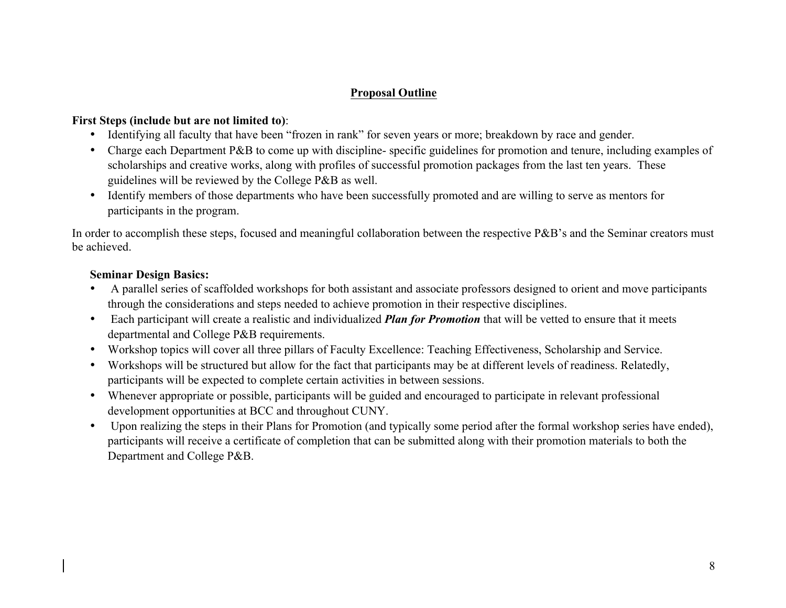## **Proposal Outline**

### **First Steps (include but are not limited to)**:

- Identifying all faculty that have been "frozen in rank" for seven years or more; breakdown by race and gender.
- Charge each Department P&B to come up with discipline-specific guidelines for promotion and tenure, including examples of scholarships and creative works, along with profiles of successful promotion packages from the last ten years. These guidelines will be reviewed by the College P&B as well.
- Identify members of those departments who have been successfully promoted and are willing to serve as mentors for participants in the program.

In order to accomplish these steps, focused and meaningful collaboration between the respective P&B's and the Seminar creators must be achieved.

### **Seminar Design Basics:**

- A parallel series of scaffolded workshops for both assistant and associate professors designed to orient and move participants through the considerations and steps needed to achieve promotion in their respective disciplines.
- Each participant will create a realistic and individualized *Plan for Promotion* that will be vetted to ensure that it meets departmental and College P&B requirements.
- Workshop topics will cover all three pillars of Faculty Excellence: Teaching Effectiveness, Scholarship and Service.
- Workshops will be structured but allow for the fact that participants may be at different levels of readiness. Relatedly, participants will be expected to complete certain activities in between sessions.
- Whenever appropriate or possible, participants will be guided and encouraged to participate in relevant professional development opportunities at BCC and throughout CUNY.
- Upon realizing the steps in their Plans for Promotion (and typically some period after the formal workshop series have ended), participants will receive a certificate of completion that can be submitted along with their promotion materials to both the Department and College P&B.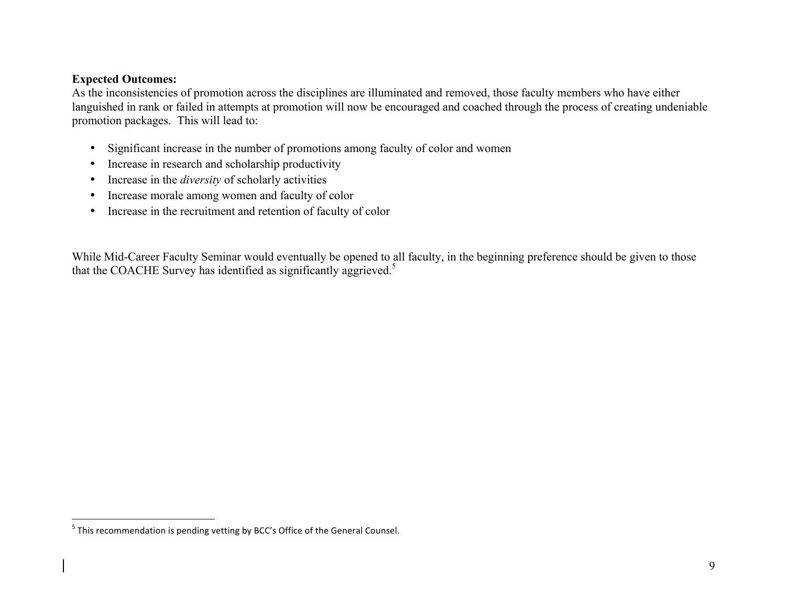## **Expected Outcomes:**

As the inconsistencies of promotion across the disciplines are illuminated and removed, those faculty members who have either languished in rank or failed in attempts at promotion will now be encouraged and coached through the process of creating undeniable promotion packages. This will lead to:

- Significant increase in the number of promotions among faculty of color and women
- Increase in research and scholarship productivity
- Increase in the *diversity* of scholarly activities
- Increase morale among women and faculty of color
- Increase in the recruitment and retention of faculty of color

While Mid-Career Faculty Seminar would eventually be opened to all faculty, in the beginning preference should be given to those that the COACHE Survey has identified as significantly aggrieved.<sup>5</sup>

 $5$  This recommendation is pending vetting by BCC's Office of the General Counsel.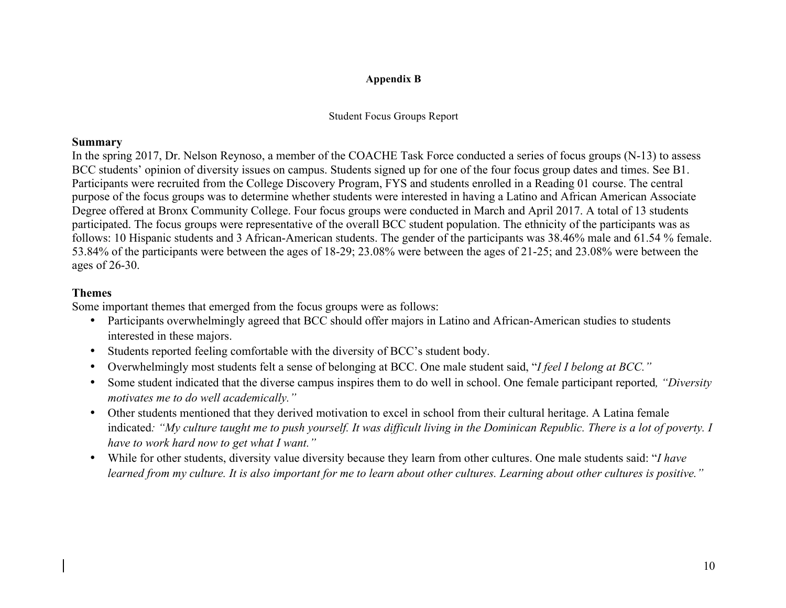### **Appendix B**

#### Student Focus Groups Report

### **Summary**

In the spring 2017, Dr. Nelson Reynoso, a member of the COACHE Task Force conducted a series of focus groups (N-13) to assess BCC students' opinion of diversity issues on campus. Students signed up for one of the four focus group dates and times. See B1. Participants were recruited from the College Discovery Program, FYS and students enrolled in a Reading 01 course. The central purpose of the focus groups was to determine whether students were interested in having a Latino and African American Associate Degree offered at Bronx Community College. Four focus groups were conducted in March and April 2017. A total of 13 students participated. The focus groups were representative of the overall BCC student population. The ethnicity of the participants was as follows: 10 Hispanic students and 3 African-American students. The gender of the participants was 38.46% male and 61.54 % female. 53.84% of the participants were between the ages of 18-29; 23.08% were between the ages of 21-25; and 23.08% were between the ages of 26-30.

### **Themes**

Some important themes that emerged from the focus groups were as follows:

- Participants overwhelmingly agreed that BCC should offer majors in Latino and African-American studies to students interested in these majors.
- Students reported feeling comfortable with the diversity of BCC's student body.
- Overwhelmingly most students felt a sense of belonging at BCC. One male student said, "*I feel I belong at BCC."*
- Some student indicated that the diverse campus inspires them to do well in school. One female participant reported*, "Diversity motivates me to do well academically."*
- Other students mentioned that they derived motivation to excel in school from their cultural heritage. A Latina female indicated: "My culture taught me to push yourself. It was difficult living in the Dominican Republic. There is a lot of poverty. I *have to work hard now to get what I want."*
- While for other students, diversity value diversity because they learn from other cultures. One male students said: "*I have learned from my culture. It is also important for me to learn about other cultures. Learning about other cultures is positive."*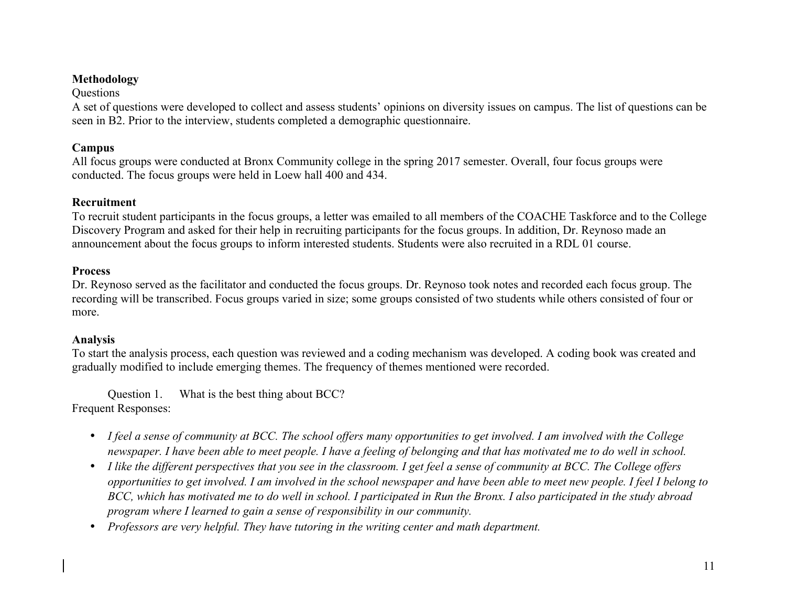## **Methodology**

**Questions** 

A set of questions were developed to collect and assess students' opinions on diversity issues on campus. The list of questions can be seen in B2. Prior to the interview, students completed a demographic questionnaire.

## **Campus**

All focus groups were conducted at Bronx Community college in the spring 2017 semester. Overall, four focus groups were conducted. The focus groups were held in Loew hall 400 and 434.

## **Recruitment**

To recruit student participants in the focus groups, a letter was emailed to all members of the COACHE Taskforce and to the College Discovery Program and asked for their help in recruiting participants for the focus groups. In addition, Dr. Reynoso made an announcement about the focus groups to inform interested students. Students were also recruited in a RDL 01 course.

## **Process**

Dr. Reynoso served as the facilitator and conducted the focus groups. Dr. Reynoso took notes and recorded each focus group. The recording will be transcribed. Focus groups varied in size; some groups consisted of two students while others consisted of four or more.

## **Analysis**

To start the analysis process, each question was reviewed and a coding mechanism was developed. A coding book was created and gradually modified to include emerging themes. The frequency of themes mentioned were recorded.

Question 1. What is the best thing about BCC? Frequent Responses:

- *I feel a sense of community at BCC. The school offers many opportunities to get involved. I am involved with the College newspaper. I have been able to meet people. I have a feeling of belonging and that has motivated me to do well in school.*
- *I like the different perspectives that you see in the classroom. I get feel a sense of community at BCC. The College offers opportunities to get involved. I am involved in the school newspaper and have been able to meet new people. I feel I belong to BCC, which has motivated me to do well in school. I participated in Run the Bronx. I also participated in the study abroad program where I learned to gain a sense of responsibility in our community.*
- *Professors are very helpful. They have tutoring in the writing center and math department.*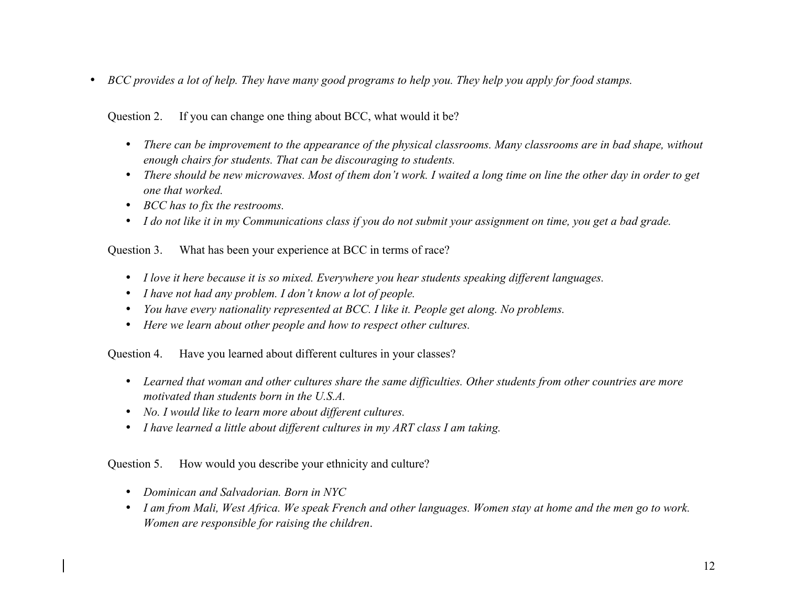• *BCC provides a lot of help. They have many good programs to help you. They help you apply for food stamps.*

## Question 2. If you can change one thing about BCC, what would it be?

- *There can be improvement to the appearance of the physical classrooms. Many classrooms are in bad shape, without enough chairs for students. That can be discouraging to students.*
- *There should be new microwaves. Most of them don't work. I waited a long time on line the other day in order to get one that worked.*
- *BCC has to fix the restrooms.*
- *I do not like it in my Communications class if you do not submit your assignment on time, you get a bad grade.*

## Question 3. What has been your experience at BCC in terms of race?

- *I love it here because it is so mixed. Everywhere you hear students speaking different languages.*
- *I have not had any problem. I don't know a lot of people.*
- *You have every nationality represented at BCC. I like it. People get along. No problems.*
- *Here we learn about other people and how to respect other cultures.*

Question 4. Have you learned about different cultures in your classes?

- *Learned that woman and other cultures share the same difficulties. Other students from other countries are more motivated than students born in the U.S.A.*
- *No. I would like to learn more about different cultures.*
- *I have learned a little about different cultures in my ART class I am taking.*

## Question 5. How would you describe your ethnicity and culture?

- *Dominican and Salvadorian. Born in NYC*
- *I am from Mali, West Africa. We speak French and other languages. Women stay at home and the men go to work. Women are responsible for raising the children*.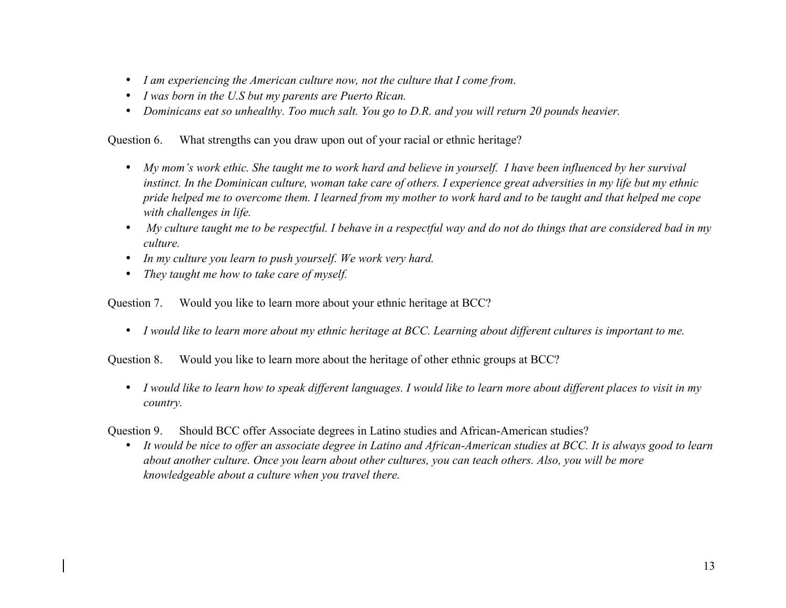- *I am experiencing the American culture now, not the culture that I come from*.
- *I was born in the U.S but my parents are Puerto Rican.*
- *Dominicans eat so unhealthy. Too much salt. You go to D.R. and you will return 20 pounds heavier.*

Question 6. What strengths can you draw upon out of your racial or ethnic heritage?

- *My mom's work ethic. She taught me to work hard and believe in yourself. I have been influenced by her survival instinct. In the Dominican culture, woman take care of others. I experience great adversities in my life but my ethnic pride helped me to overcome them. I learned from my mother to work hard and to be taught and that helped me cope with challenges in life.*
- *My culture taught me to be respectful. I behave in a respectful way and do not do things that are considered bad in my culture.*
- *In my culture you learn to push yourself. We work very hard.*
- *They taught me how to take care of myself.*

Question 7. Would you like to learn more about your ethnic heritage at BCC?

• *I would like to learn more about my ethnic heritage at BCC. Learning about different cultures is important to me.*

Question 8. Would you like to learn more about the heritage of other ethnic groups at BCC?

• *I would like to learn how to speak different languages. I would like to learn more about different places to visit in my country.*

Question 9. Should BCC offer Associate degrees in Latino studies and African-American studies?

• *It would be nice to offer an associate degree in Latino and African-American studies at BCC. It is always good to learn about another culture. Once you learn about other cultures, you can teach others. Also, you will be more knowledgeable about a culture when you travel there.*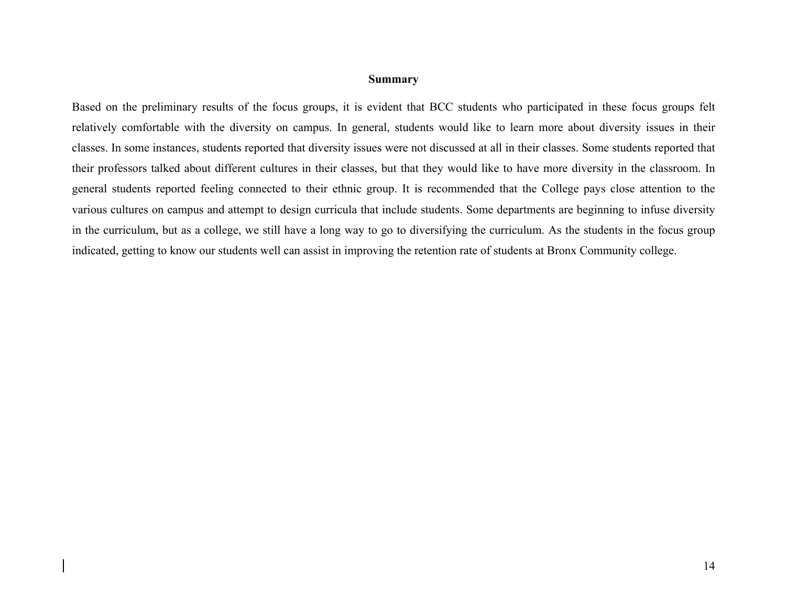### **Summary**

Based on the preliminary results of the focus groups, it is evident that BCC students who participated in these focus groups felt relatively comfortable with the diversity on campus. In general, students would like to learn more about diversity issues in their classes. In some instances, students reported that diversity issues were not discussed at all in their classes. Some students reported that their professors talked about different cultures in their classes, but that they would like to have more diversity in the classroom. In general students reported feeling connected to their ethnic group. It is recommended that the College pays close attention to the various cultures on campus and attempt to design curricula that include students. Some departments are beginning to infuse diversity in the curriculum, but as a college, we still have a long way to go to diversifying the curriculum. As the students in the focus group indicated, getting to know our students well can assist in improving the retention rate of students at Bronx Community college.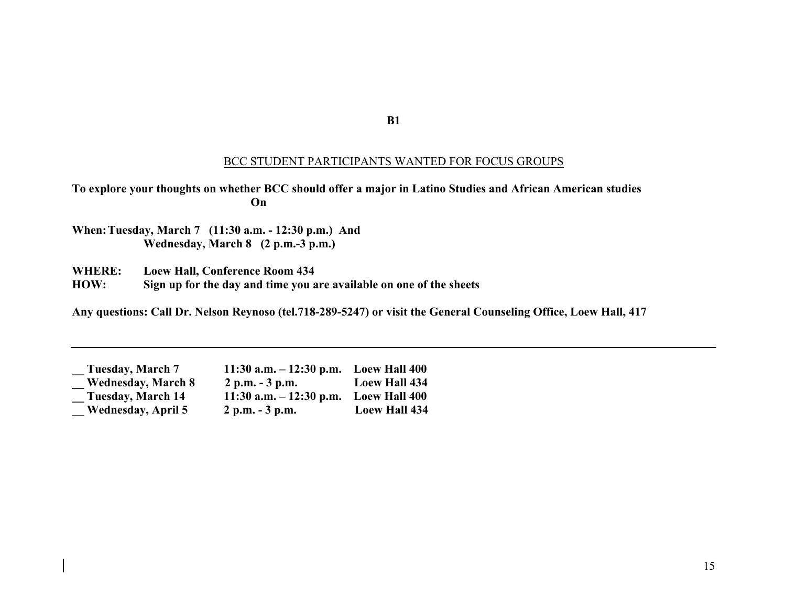**B1**

### BCC STUDENT PARTICIPANTS WANTED FOR FOCUS GROUPS

**To explore your thoughts on whether BCC should offer a major in Latino Studies and African American studies On**

**When:Tuesday, March 7 (11:30 a.m. - 12:30 p.m.) And Wednesday, March 8 (2 p.m.-3 p.m.)** 

**WHERE: Loew Hall, Conference Room 434**

**HOW: Sign up for the day and time you are available on one of the sheets**

**Any questions: Call Dr. Nelson Reynoso (tel.718-289-5247) or visit the General Counseling Office, Loew Hall, 417**

| Tuesday, March 7          | $11:30$ a.m. $-12:30$ p.m. | <b>Loew Hall 400</b> |
|---------------------------|----------------------------|----------------------|
| <b>Wednesday, March 8</b> | $2 p.m. - 3 p.m.$          | <b>Loew Hall 434</b> |
| <b>Tuesday, March 14</b>  | $11:30$ a.m. $-12:30$ p.m. | <b>Loew Hall 400</b> |
| <b>Wednesday, April 5</b> | $2 p.m. - 3 p.m.$          | <b>Loew Hall 434</b> |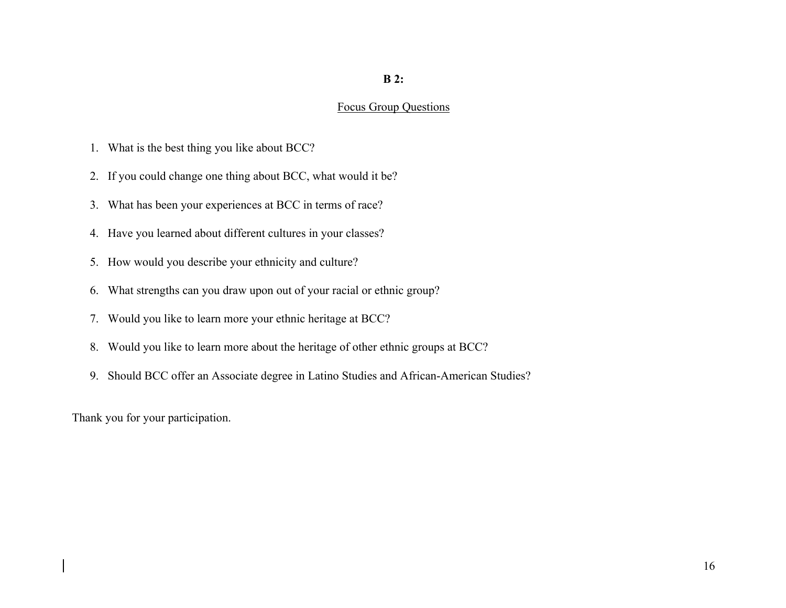## **B 2:**

#### Focus Group Questions

- 1. What is the best thing you like about BCC?
- 2. If you could change one thing about BCC, what would it be?
- 3. What has been your experiences at BCC in terms of race?
- 4. Have you learned about different cultures in your classes?
- 5. How would you describe your ethnicity and culture?
- 6. What strengths can you draw upon out of your racial or ethnic group?
- 7. Would you like to learn more your ethnic heritage at BCC?
- 8. Would you like to learn more about the heritage of other ethnic groups at BCC?
- 9. Should BCC offer an Associate degree in Latino Studies and African-American Studies?

Thank you for your participation.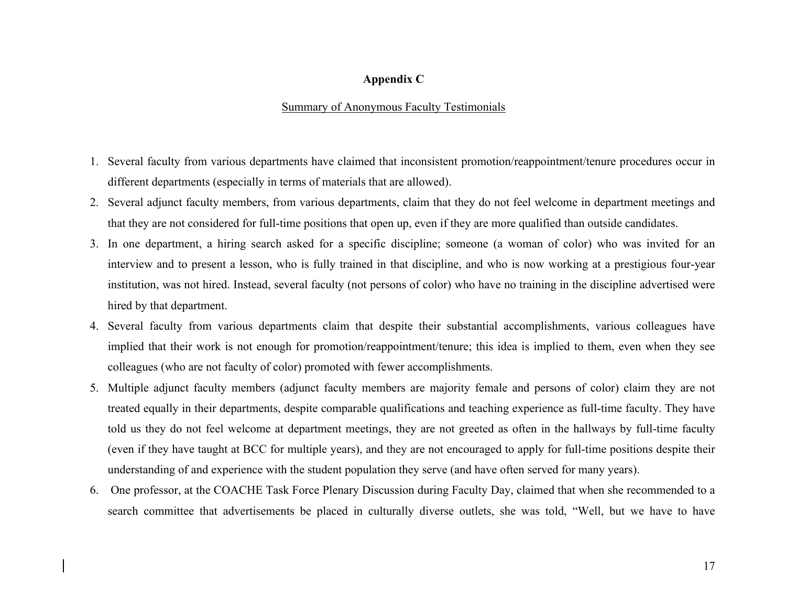### **Appendix C**

### Summary of Anonymous Faculty Testimonials

- 1. Several faculty from various departments have claimed that inconsistent promotion/reappointment/tenure procedures occur in different departments (especially in terms of materials that are allowed).
- 2. Several adjunct faculty members, from various departments, claim that they do not feel welcome in department meetings and that they are not considered for full-time positions that open up, even if they are more qualified than outside candidates.
- 3. In one department, a hiring search asked for a specific discipline; someone (a woman of color) who was invited for an interview and to present a lesson, who is fully trained in that discipline, and who is now working at a prestigious four-year institution, was not hired. Instead, several faculty (not persons of color) who have no training in the discipline advertised were hired by that department.
- 4. Several faculty from various departments claim that despite their substantial accomplishments, various colleagues have implied that their work is not enough for promotion/reappointment/tenure; this idea is implied to them, even when they see colleagues (who are not faculty of color) promoted with fewer accomplishments.
- 5. Multiple adjunct faculty members (adjunct faculty members are majority female and persons of color) claim they are not treated equally in their departments, despite comparable qualifications and teaching experience as full-time faculty. They have told us they do not feel welcome at department meetings, they are not greeted as often in the hallways by full-time faculty (even if they have taught at BCC for multiple years), and they are not encouraged to apply for full-time positions despite their understanding of and experience with the student population they serve (and have often served for many years).
- 6. One professor, at the COACHE Task Force Plenary Discussion during Faculty Day, claimed that when she recommended to a search committee that advertisements be placed in culturally diverse outlets, she was told, "Well, but we have to have